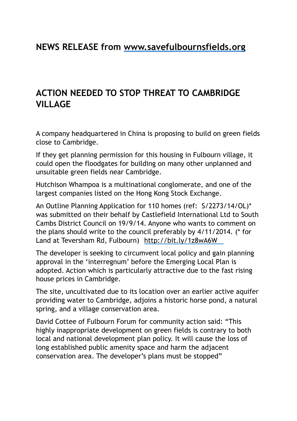## **ACTION NEEDED TO STOP THREAT TO CAMBRIDGE VILLAGE**

A company headquartered in China is proposing to build on green fields close to Cambridge.

If they get planning permission for this housing in Fulbourn village, it could open the floodgates for building on many other unplanned and unsuitable green fields near Cambridge.

Hutchison Whampoa is a multinational conglomerate, and one of the largest companies listed on the Hong Kong Stock Exchange.

An Outline Planning Application for 110 homes (ref: S/2273/14/OL)\* was submitted on their behalf by Castlefield International Ltd to South Cambs District Council on 19/9/14. Anyone who wants to comment on the plans should write to the council preferably by 4/11/2014. (\* for Land at Teversham Rd, Fulbourn) http://bit.ly/1z8wA6W

The developer is seeking to circumvent local policy and gain planning approval in the 'interregnum' before the Emerging Local Plan is adopted. Action which is particularly attractive due to the fast rising house prices in Cambridge.

The site, uncultivated due to its location over an earlier active aquifer providing water to Cambridge, adjoins a historic horse pond, a natural spring, and a village conservation area.

David Cottee of Fulbourn Forum for community action said: "This highly inappropriate development on green fields is contrary to both local and national development plan policy. It will cause the loss of long established public amenity space and harm the adjacent conservation area. The developer's plans must be stopped"